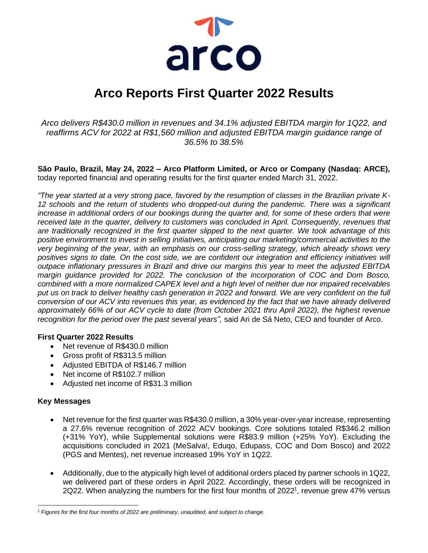

# **Arco Reports First Quarter 2022 Results**

*Arco delivers R\$430.0 million in revenues and 34.1% adjusted EBITDA margin for 1Q22, and reaffirms ACV for 2022 at R\$1,560 million and adjusted EBITDA margin guidance range of 36.5% to 38.5%*

**São Paulo, Brazil, May 24, 2022 – Arco Platform Limited, or Arco or Company (Nasdaq: ARCE),**  today reported financial and operating results for the first quarter ended March 31, 2022.

*"The year started at a very strong pace, favored by the resumption of classes in the Brazilian private K-12 schools and the return of students who dropped-out during the pandemic. There was a significant increase in additional orders of our bookings during the quarter and, for some of these orders that were received late in the quarter, delivery to customers was concluded in April. Consequently, revenues that are traditionally recognized in the first quarter slipped to the next quarter. We took advantage of this positive environment to invest in selling initiatives, anticipating our marketing/commercial activities to the very beginning of the year, with an emphasis on our cross-selling strategy, which already shows very positives signs to date. On the cost side, we are confident our integration and efficiency initiatives will outpace inflationary pressures in Brazil and drive our margins this year to meet the adjusted EBITDA margin guidance provided for 2022. The conclusion of the incorporation of COC and Dom Bosco, combined with a more normalized CAPEX level and a high level of neither due nor impaired receivables put us on track to deliver healthy cash generation in 2022 and forward. We are very confident on the full conversion of our ACV into revenues this year, as evidenced by the fact that we have already delivered approximately 66% of our ACV cycle to date (from October 2021 thru April 2022), the highest revenue recognition for the period over the past several years",* said Ari de Sá Neto, CEO and founder of Arco.

## **First Quarter 2022 Results**

- Net revenue of R\$430.0 million
- Gross profit of R\$313.5 million
- Adjusted EBITDA of R\$146.7 million
- Net income of R\$102.7 million
- Adjusted net income of R\$31.3 million

## **Key Messages**

- Net revenue for the first quarter was R\$430.0 million, a 30% year-over-year increase, representing a 27.6% revenue recognition of 2022 ACV bookings. Core solutions totaled R\$346.2 million (+31% YoY), while Supplemental solutions were R\$83.9 million (+25% YoY). Excluding the acquisitions concluded in 2021 (MeSalva!, Eduqo, Edupass, COC and Dom Bosco) and 2022 (PGS and Mentes), net revenue increased 19% YoY in 1Q22.
- Additionally, due to the atypically high level of additional orders placed by partner schools in 1Q22, we delivered part of these orders in April 2022. Accordingly, these orders will be recognized in 2Q22. When analyzing the numbers for the first four months of 2022<sup>1</sup>, revenue grew 47% versus

*<sup>1</sup> Figures for the first four months of 2022 are preliminary, unaudited, and subject to change.*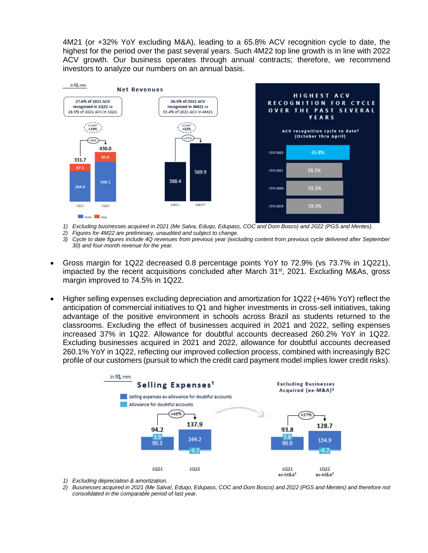4M21 (or +32% YoY excluding M&A), leading to a 65.8% ACV recognition cycle to date, the highest for the period over the past several years. Such 4M22 top line growth is in line with 2022 ACV growth. Our business operates through annual contracts; therefore, we recommend investors to analyze our numbers on an annual basis.



- *1) Excluding businesses acquired in 2021 (Me Salva, Eduqo, Edupass, COC and Dom Bosco) and 2022 (PGS and Mentes).*
- *2) Figures for 4M22 are preliminary, unaudited and subject to change.*
- *3) Cycle to date figures include 4Q revenues from previous year (excluding content from previous cycle delivered after September 30) and four-month revenue for the year.*
- Gross margin for 1Q22 decreased 0.8 percentage points YoY to 72.9% (vs 73.7% in 1Q221), impacted by the recent acquisitions concluded after March  $31<sup>st</sup>$ , 2021. Excluding M&As, gross margin improved to 74.5% in 1Q22.
- Higher selling expenses excluding depreciation and amortization for 1Q22 (+46% YoY) reflect the anticipation of commercial initiatives to Q1 and higher investments in cross-sell initiatives, taking advantage of the positive environment in schools across Brazil as students returned to the classrooms. Excluding the effect of businesses acquired in 2021 and 2022, selling expenses increased 37% in 1Q22. Allowance for doubtful accounts decreased 260.2% YoY in 1Q22. Excluding businesses acquired in 2021 and 2022, allowance for doubtful accounts decreased 260.1% YoY in 1Q22, reflecting our improved collection process, combined with increasingly B2C profile of our customers (pursuit to which the credit card payment model implies lower credit risks).



- *1) Excluding depreciation & amortization.*
- *2) Businesses acquired in 2021 (Me Salva!, Eduqo, Edupass, COC and Dom Bosco) and 2022 (PGS and Mentes) and therefore not consolidated in the comparable period of last year.*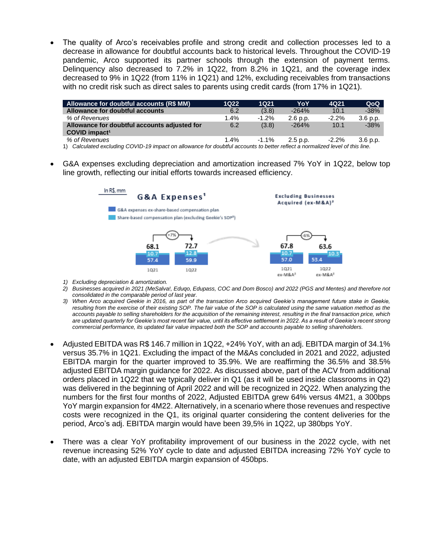• The quality of Arco's receivables profile and strong credit and collection processes led to a decrease in allowance for doubtful accounts back to historical levels. Throughout the COVID-19 pandemic, Arco supported its partner schools through the extension of payment terms. Delinquency also decreased to 7.2% in 1Q22, from 8.2% in 1Q21, and the coverage index decreased to 9% in 1Q22 (from 11% in 1Q21) and 12%, excluding receivables from transactions with no credit risk such as direct sales to parents using credit cards (from 17% in 1Q21).

| Allowance for doubtful accounts (R\$ MM)                                                                                                             | 1Q22    | 1Q21     | YoY      | 4Q21     | QoQ      |
|------------------------------------------------------------------------------------------------------------------------------------------------------|---------|----------|----------|----------|----------|
| Allowance for doubtful accounts                                                                                                                      | 6.2     | (3.8)    | $-264%$  | 10.1     | $-38%$   |
| % of Revenues                                                                                                                                        | $1.4\%$ | $-1.2\%$ | 2.6 p.p. | $-2.2%$  | 3.6 p.p. |
| Allowance for doubtful accounts adjusted for                                                                                                         | 6.2     | (3.8)    | $-264%$  | 10.1     | $-38%$   |
| COVID impact <sup>1</sup>                                                                                                                            |         |          |          |          |          |
| % of Revenues                                                                                                                                        | 1.4%    | $-1.1\%$ | 2.5 p.p. | $-2.2\%$ | 3.6 p.p. |
| $\mathbf{A}$ . Alternatively, the COUT $\mathbf{A}$ through the Hammer for death discussed in the floor floor commentary distribution that the state |         |          |          |          |          |

1) *Calculated excluding COVID-19 impact on allowance for doubtful accounts to better reflect a normalized level of this line.*

• G&A expenses excluding depreciation and amortization increased 7% YoY in 1Q22, below top line growth, reflecting our initial efforts towards increased efficiency.



- *1) Excluding depreciation & amortization.*
- *2) Businesses acquired in 2021 (MeSalva!, Eduqo, Edupass, COC and Dom Bosco) and 2022 (PGS and Mentes) and therefore not consolidated in the comparable period of last year.*
- *3) When Arco acquired Geekie in 2016, as part of the transaction Arco acquired Geekie's management future stake in Geekie,*  resulting from the exercise of their existing SOP. The fair value of the SOP is calculated using the same valuation method as the *accounts payable to selling shareholders for the acquisition of the remaining interest, resulting in the final transaction price, which are updated quarterly for Geekie's most recent fair value, until its effective settlement in 2022. As a result of Geekie's recent strong commercial performance, its updated fair value impacted both the SOP and accounts payable to selling shareholders.*
- Adjusted EBITDA was R\$ 146.7 million in 1Q22, +24% YoY, with an adj. EBITDA margin of 34.1% versus 35.7% in 1Q21. Excluding the impact of the M&As concluded in 2021 and 2022, adjusted EBITDA margin for the quarter improved to 35.9%. We are reaffirming the 36.5% and 38.5% adjusted EBITDA margin guidance for 2022. As discussed above, part of the ACV from additional orders placed in 1Q22 that we typically deliver in Q1 (as it will be used inside classrooms in Q2) was delivered in the beginning of April 2022 and will be recognized in 2Q22. When analyzing the numbers for the first four months of 2022, Adjusted EBITDA grew 64% versus 4M21, a 300bps YoY margin expansion for 4M22. Alternatively, in a scenario where those revenues and respective costs were recognized in the Q1, its original quarter considering the content deliveries for the period, Arco's adj. EBITDA margin would have been 39,5% in 1Q22, up 380bps YoY.
- There was a clear YoY profitability improvement of our business in the 2022 cycle, with net revenue increasing 52% YoY cycle to date and adjusted EBITDA increasing 72% YoY cycle to date, with an adjusted EBITDA margin expansion of 450bps.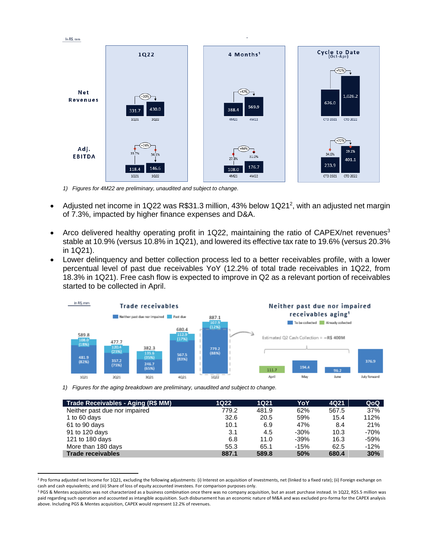

*1) Figures for 4M22 are preliminary, unaudited and subject to change.*

- Adjusted net income in 1Q22 was R\$31.3 million, 43% below 1Q21<sup>2</sup>, with an adjusted net margin of 7.3%, impacted by higher finance expenses and D&A.
- Arco delivered healthy operating profit in 1Q22, maintaining the ratio of CAPEX/net revenues<sup>3</sup> stable at 10.9% (versus 10.8% in 1Q21), and lowered its effective tax rate to 19.6% (versus 20.3% in 1Q21).
- Lower delinquency and better collection process led to a better receivables profile, with a lower percentual level of past due receivables YoY (12.2% of total trade receivables in 1Q22, from 18.3% in 1Q21). Free cash flow is expected to improve in Q2 as a relevant portion of receivables started to be collected in April.



*1) Figures for the aging breakdown are preliminary, unaudited and subject to change.*

| Trade Receivables - Aging (R\$ MM) | 1Q22  | <b>1Q21</b> | YoY     | 4Q21  | QoQ    |
|------------------------------------|-------|-------------|---------|-------|--------|
| Neither past due nor impaired      | 779.2 | 481.9       | 62%     | 567.5 | 37%    |
| 1 to 60 days                       | 32.6  | 20.5        | 59%     | 15.4  | 112%   |
| 61 to 90 days                      | 10.1  | 6.9         | 47%     | 8.4   | 21%    |
| 91 to 120 days                     | 3.1   | 4.5         | $-30\%$ | 10.3  | $-70%$ |
| 121 to 180 days                    | 6.8   | 11.0        | $-39%$  | 16.3  | $-59%$ |
| More than 180 days                 | 55.3  | 65.1        | $-15%$  | 62.5  | $-12%$ |
| <b>Trade receivables</b>           | 887.1 | 589.8       | 50%     | 680.4 | 30%    |

<sup>&</sup>lt;sup>2</sup> Pro forma adjusted net Income for 1Q21, excluding the following adjustments: (i) Interest on acquisition of investments, net (linked to a fixed rate); (ii) Foreign exchange on cash and cash equivalents; and (iii) Share of loss of equity accounted investees. For comparison purposes only.

<sup>&</sup>lt;sup>3</sup> PGS & Mentes acquisition was not characterized as a business combination once there was no company acquisition, but an asset purchase instead. In 1Q22, R\$5.5 million was paid regarding such operation and accounted as intangible acquisition. Such disbursement has an economic nature of M&A and was excluded pro-forma for the CAPEX analysis above. Including PGS & Mentes acquisition, CAPEX would represent 12.2% of revenues.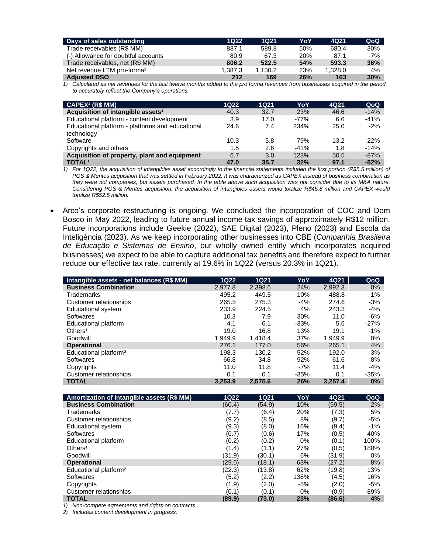| Davs of sales outstanding              | 1Q22    | <b>1Q21</b> | YoY        | 4Q21    | QoQ   |
|----------------------------------------|---------|-------------|------------|---------|-------|
| Trade receivables (R\$ MM)             | 887.1   | 589.8       | 50%        | 680.4   | 30%   |
| (-) Allowance for doubtful accounts    | 80.9    | 67.3        | <b>20%</b> | 87.1    | $-7%$ |
| Trade receivables, net (R\$ MM)        | 806.2   | 522.5       | 54%        | 593.3   | 36%   |
| Net revenue LTM pro-forma <sup>1</sup> | 1.387.3 | 1.130.2     | 23%        | 1.328.0 | 4%    |
| <b>Adjusted DSO</b>                    | 212     | 169         | 26%        | 163     | 30%   |

*1) Calculated as net revenues for the last twelve months added to the pro forma revenues from businesses acquired in the period to accurately reflect the Company's operations.*

| <b>CAPEX<sup>1</sup> (R\$ MM)</b>                | 1Q22 | 1Q21 | YoY    | 4Q21 | QoQ    |
|--------------------------------------------------|------|------|--------|------|--------|
| Acquisition of intangible assets <sup>1</sup>    | 40.3 | 32.7 | 23%    | 46.6 | $-14%$ |
| Educational platform - content development       | 3.9  | 17.0 | $-77%$ | 6.6  | $-41%$ |
| Educational platform - platforms and educational | 24.6 | 7.4  | 234%   | 25.0 | $-2%$  |
| technology                                       |      |      |        |      |        |
| Software                                         | 10.3 | 5.8  | 79%    | 13.2 | $-22%$ |
| Copyrights and others                            | 1.5  | 2.6  | $-41%$ | 1.8  | $-14%$ |
| Acquisition of property, plant and equipment     | 6.7  | 3.0  | 123%   | 50.5 | $-87%$ |
| <b>TOTAL1</b>                                    | 47.0 | 35.7 | 32%    | 97.1 | $-52%$ |

*1) For 1Q22, the acquisition of intangibles asset accordingly to the financial statements included the first portion (R\$5.5 million) of PGS & Mentes acquisition that was settled in February 2022. It was characterized as CAPEX instead of business combination as they were not companies, but assets purchased. In the table above such acquisition was not consider due to its M&A nature. Considering PGS & Mentes acquisition, the acquisition of intangibles assets would totalize R\$45.8 million and CAPEX would totalize R\$52.5 million.*

• Arco's corporate restructuring is ongoing. We concluded the incorporation of COC and Dom Bosco in May 2022, leading to future annual income tax savings of approximately R\$12 million. Future incorporations include Geekie (2022), SAE Digital (2023), Pleno (2023) and Escola da Inteligência (2023). As we keep incorporating other businesses into CBE (*Companhia Brasileira de Educação e Sistemas de Ensino*, our wholly owned entity which incorporates acquired businesses) we expect to be able to capture additional tax benefits and therefore expect to further reduce our effective tax rate, currently at 19.6% in 1Q22 (versus 20.3% in 1Q21).

| Intangible assets - net balances (R\$ MM) | <b>1Q22</b> | <b>1Q21</b> | YoY    | 4Q21    | QoQ    |
|-------------------------------------------|-------------|-------------|--------|---------|--------|
| <b>Business Combination</b>               | 2,977.8     | 2,398.6     | 24%    | 2,992.3 | $0\%$  |
| Trademarks                                | 495.2       | 449.5       | 10%    | 488.8   | 1%     |
| <b>Customer relationships</b>             | 265.5       | 275.3       | $-4%$  | 274.6   | $-3%$  |
| Educational system                        | 233.9       | 224.5       | 4%     | 243.3   | $-4%$  |
| Softwares                                 | 10.3        | 7.9         | 30%    | 11.0    | $-6%$  |
| Educational platform                      | 4.1         | 6.1         | $-33%$ | 5.6     | $-27%$ |
| Others <sup>1</sup>                       | 19.0        | 16.8        | 13%    | 19.1    | $-1%$  |
| Goodwill                                  | 1.949.9     | 1,418.4     | 37%    | 1.949.9 | 0%     |
| <b>Operational</b>                        | 276.1       | 177.0       | 56%    | 265.1   | 4%     |
| Educational platform <sup>2</sup>         | 198.3       | 130.2       | 52%    | 192.0   | 3%     |
| <b>Softwares</b>                          | 66.8        | 34.8        | 92%    | 61.6    | 8%     |
| Copyrights                                | 11.0        | 11.8        | -7%    | 11.4    | $-4%$  |
| Customer relationships                    | 0.1         | 0.1         | $-35%$ | 0.1     | $-35%$ |
| <b>TOTAL</b>                              | 3.253.9     | 2.575.6     | 26%    | 3,257.4 | $0\%$  |

| Amortization of intangible assets (R\$ MM) | <b>1Q22</b> | <b>1Q21</b> | YoY   | 4Q21   | QoQ    |
|--------------------------------------------|-------------|-------------|-------|--------|--------|
| <b>Business Combination</b>                | (60.4)      | (54.9)      | 10%   | (59.5) | 2%     |
| Trademarks                                 | (7.7)       | (6.4)       | 20%   | (7.3)  | 5%     |
| Customer relationships                     | (9.2)       | (8.5)       | 8%    | (9.7)  | $-5%$  |
| Educational system                         | (9.3)       | (8.0)       | 16%   | (9.4)  | $-1%$  |
| Softwares                                  | (0.7)       | (0.6)       | 17%   | (0.5)  | 40%    |
| Educational platform                       | (0.2)       | (0.2)       | $0\%$ | (0.1)  | 100%   |
| Other <sub>1</sub>                         | (1.4)       | (1.1)       | 27%   | (0.5)  | 180%   |
| Goodwill                                   | (31.9)      | (30.1)      | 6%    | (31.9) | 0%     |
| <b>Operational</b>                         | (29.5)      | (18.1)      | 63%   | (27.2) | 8%     |
| Educational platform <sup>2</sup>          | (22.3)      | (13.8)      | 62%   | (19.8) | 13%    |
| Softwares                                  | (5.2)       | (2.2)       | 136%  | (4.5)  | 16%    |
| Copyrights                                 | (1.9)       | (2.0)       | $-5%$ | (2.0)  | $-5%$  |
| Customer relationships                     | (0.1)       | (0.1)       | 0%    | (0.9)  | $-89%$ |
| <b>TOTAL</b>                               | (89.9)      | (73.0)      | 23%   | (86.6) | 4%     |

*1) Non-compete agreements and rights on contracts.*

*2) Includes content development in progress.*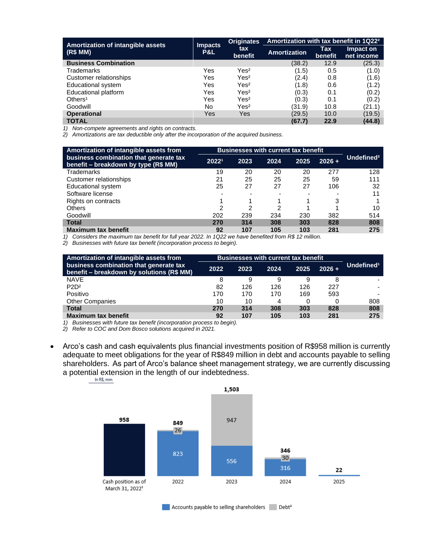| Amortization of intangible assets | <b>Impacts</b> | <b>Originates</b>     | Amortization with tax benefit in 1Q22 <sup>2</sup> |                |                         |  |
|-----------------------------------|----------------|-----------------------|----------------------------------------------------|----------------|-------------------------|--|
| (R\$ MM)<br>P&L                   |                | tax<br><b>benefit</b> | <b>Amortization</b>                                | Tax<br>benefit | Impact on<br>net income |  |
| <b>Business Combination</b>       |                |                       | (38.2)                                             | 12.9           | (25.3)                  |  |
| <b>Trademarks</b>                 | Yes            | Yes <sup>2</sup>      | (1.5)                                              | 0.5            | (1.0)                   |  |
| Customer relationships            | Yes            | Yes <sup>2</sup>      | (2.4)                                              | 0.8            | (1.6)                   |  |
| Educational system                | Yes            | Yes <sup>2</sup>      | (1.8)                                              | 0.6            | (1.2)                   |  |
| Educational platform              | Yes            | Yes <sup>2</sup>      | (0.3)                                              | 0.1            | (0.2)                   |  |
| Others <sup>1</sup>               | Yes            | Yes <sup>2</sup>      | (0.3)                                              | 0.1            | (0.2)                   |  |
| Goodwill                          | No             | Yes <sup>2</sup>      | (31.9)                                             | 10.8           | (21.1)                  |  |
| <b>Operational</b>                | Yes            | Yes                   | (29.5)                                             | 10.0           | (19.5)                  |  |
| <b>TOTAL</b>                      |                |                       | (67.7)                                             | 22.9           | (44.8)                  |  |

*1) Non-compete agreements and rights on contracts.*

*2) Amortizations are tax deductible only after the incorporation of the acquired business.* 

| Amortization of intangible assets from                                         |       |      | <b>Businesses with current tax benefit</b> |      |          |                        |
|--------------------------------------------------------------------------------|-------|------|--------------------------------------------|------|----------|------------------------|
| business combination that generate tax<br>benefit - breakdown by type (R\$ MM) | 20221 | 2023 | 2024                                       | 2025 | $2026 +$ | Undefined <sup>2</sup> |
| Trademarks                                                                     | 19    | 20   | 20                                         | 20   | 277      | 128                    |
| Customer relationships                                                         | 21    | 25   | 25                                         | 25   | 59       | 111                    |
| Educational system                                                             | 25    | 27   | 27                                         | 27   | 106      | 32                     |
| Software license                                                               |       |      |                                            |      |          | 11                     |
| Rights on contracts                                                            |       |      |                                            |      | 3        |                        |
| <b>Others</b>                                                                  | 2     |      | 2                                          |      |          | 10                     |
| Goodwill                                                                       | 202   | 239  | 234                                        | 230  | 382      | 514                    |
| <b>Total</b>                                                                   | 270   | 314  | 308                                        | 303  | 828      | 808                    |
| <b>Maximum tax benefit</b>                                                     | 92    | 107  | 105                                        | 103  | 281      | 275                    |

*1) Considers the maximum tax benefit for full year 2022. In 1Q22 we have benefited from R\$ 12 million.* 

*2) Businesses with future tax benefit (incorporation process to begin).*

| Amortization of intangible assets from                                              | <b>Businesses with current tax benefit</b> |      |      |      |          |                        |
|-------------------------------------------------------------------------------------|--------------------------------------------|------|------|------|----------|------------------------|
| business combination that generate tax<br>benefit - breakdown by solutions (R\$ MM) | 2022                                       | 2023 | 2024 | 2025 | $2026 +$ | Undefined <sup>1</sup> |
| <b>NAVE</b>                                                                         | 8                                          | 9    | 9    | 9    | 8        |                        |
| P2D <sup>2</sup>                                                                    | 82                                         | 126  | 126  | 126  | 227      |                        |
| Positivo                                                                            | 170                                        | 170  | 170  | 169  | 593      |                        |
| <b>Other Companies</b>                                                              | 10                                         | 10   | 4    |      |          | 808                    |
| <b>Total</b>                                                                        | 270                                        | 314  | 308  | 303  | 828      | 808                    |
| <b>Maximum tax benefit</b>                                                          | 92                                         | 107  | 105  | 103  | 281      | 275                    |

*1) Businesses with future tax benefit (incorporation process to begin).*

*2) Refer to COC and Dom Bosco solutions acquired in 2021.*

• Arco's cash and cash equivalents plus financial investments position of R\$958 million is currently adequate to meet obligations for the year of R\$849 million in debt and accounts payable to selling shareholders. As part of Arco's balance sheet management strategy, we are currently discussing a potential extension in the length of our indebtedness.<br> $\frac{ln R_s, mm}{L}$ 

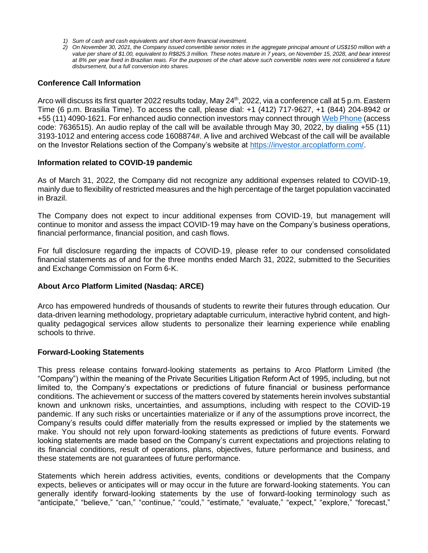- *1) Sum of cash and cash equivalents and short-term financial investment.*
- *2) On November 30, 2021, the Company issued convertible senior notes in the aggregate principal amount of US\$150 million with a value per share of \$1.00, equivalent to R\$825.3 million. These notes mature in 7 years, on November 15, 2028, and bear interest at 8% per year fixed in Brazilian reais. For the purposes of the chart above such convertible notes were not considered a future disbursement, but a full conversion into shares.*

#### **Conference Call Information**

Arco will discuss its first quarter 2022 results today, May 24<sup>th</sup>, 2022, via a conference call at 5 p.m. Eastern Time (6 p.m. Brasilia Time). To access the call, please dial: +1 (412) 717-9627, +1 (844) 204-8942 or +55 (11) 4090-1621. For enhanced audio connection investors may connect through [Web Phone](https://hdbr.choruscall.com/?passcode=7636515&h=true&info=company&r=true) (access code: 7636515). An audio replay of the call will be available through May 30, 2022, by dialing +55 (11) 3193-1012 and entering access code 1608874#. A live and archived Webcast of the call will be available on the Investor Relations section of the Company's website at [https://investor.arcoplatform.com/.](https://investor.arcoplatform.com/)

#### **Information related to COVID-19 pandemic**

As of March 31, 2022, the Company did not recognize any additional expenses related to COVID-19, mainly due to flexibility of restricted measures and the high percentage of the target population vaccinated in Brazil.

The Company does not expect to incur additional expenses from COVID-19, but management will continue to monitor and assess the impact COVID-19 may have on the Company's business operations, financial performance, financial position, and cash flows.

For full disclosure regarding the impacts of COVID-19, please refer to our condensed consolidated financial statements as of and for the three months ended March 31, 2022, submitted to the Securities and Exchange Commission on Form 6-K.

## **About Arco Platform Limited (Nasdaq: ARCE)**

Arco has empowered hundreds of thousands of students to rewrite their futures through education. Our data-driven learning methodology, proprietary adaptable curriculum, interactive hybrid content, and highquality pedagogical services allow students to personalize their learning experience while enabling schools to thrive.

#### **Forward-Looking Statements**

This press release contains forward-looking statements as pertains to Arco Platform Limited (the "Company") within the meaning of the Private Securities Litigation Reform Act of 1995, including, but not limited to, the Company's expectations or predictions of future financial or business performance conditions. The achievement or success of the matters covered by statements herein involves substantial known and unknown risks, uncertainties, and assumptions, including with respect to the COVID-19 pandemic. If any such risks or uncertainties materialize or if any of the assumptions prove incorrect, the Company's results could differ materially from the results expressed or implied by the statements we make. You should not rely upon forward-looking statements as predictions of future events. Forward looking statements are made based on the Company's current expectations and projections relating to its financial conditions, result of operations, plans, objectives, future performance and business, and these statements are not guarantees of future performance.

Statements which herein address activities, events, conditions or developments that the Company expects, believes or anticipates will or may occur in the future are forward-looking statements. You can generally identify forward-looking statements by the use of forward-looking terminology such as "anticipate," "believe," "can," "continue," "could," "estimate," "evaluate," "expect," "explore," "forecast,"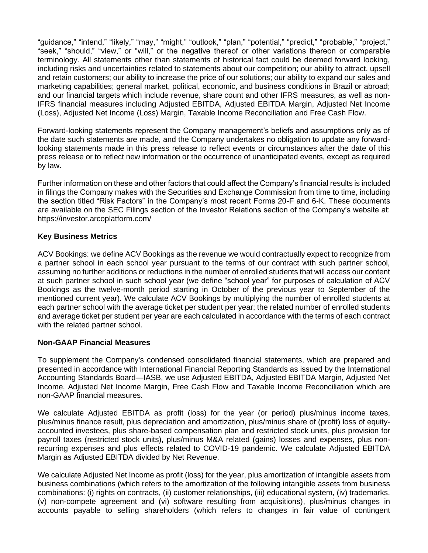"guidance," "intend," "likely," "may," "might," "outlook," "plan," "potential," "predict," "probable," "project," "seek," "should," "view," or "will," or the negative thereof or other variations thereon or comparable terminology. All statements other than statements of historical fact could be deemed forward looking, including risks and uncertainties related to statements about our competition; our ability to attract, upsell and retain customers; our ability to increase the price of our solutions; our ability to expand our sales and marketing capabilities; general market, political, economic, and business conditions in Brazil or abroad; and our financial targets which include revenue, share count and other IFRS measures, as well as non-IFRS financial measures including Adjusted EBITDA, Adjusted EBITDA Margin, Adjusted Net Income (Loss), Adjusted Net Income (Loss) Margin, Taxable Income Reconciliation and Free Cash Flow.

Forward-looking statements represent the Company management's beliefs and assumptions only as of the date such statements are made, and the Company undertakes no obligation to update any forwardlooking statements made in this press release to reflect events or circumstances after the date of this press release or to reflect new information or the occurrence of unanticipated events, except as required by law.

Further information on these and other factors that could affect the Company's financial results is included in filings the Company makes with the Securities and Exchange Commission from time to time, including the section titled "Risk Factors" in the Company's most recent Forms 20-F and 6-K. These documents are available on the SEC Filings section of the Investor Relations section of the Company's website at: <https://investor.arcoplatform.com/>

## **Key Business Metrics**

ACV Bookings: we define ACV Bookings as the revenue we would contractually expect to recognize from a partner school in each school year pursuant to the terms of our contract with such partner school, assuming no further additions or reductions in the number of enrolled students that will access our content at such partner school in such school year (we define "school year" for purposes of calculation of ACV Bookings as the twelve-month period starting in October of the previous year to September of the mentioned current year). We calculate ACV Bookings by multiplying the number of enrolled students at each partner school with the average ticket per student per year; the related number of enrolled students and average ticket per student per year are each calculated in accordance with the terms of each contract with the related partner school.

## **Non-GAAP Financial Measures**

To supplement the Company's condensed consolidated financial statements, which are prepared and presented in accordance with International Financial Reporting Standards as issued by the International Accounting Standards Board—IASB, we use Adjusted EBITDA, Adjusted EBITDA Margin, Adjusted Net Income, Adjusted Net Income Margin, Free Cash Flow and Taxable Income Reconciliation which are non-GAAP financial measures.

We calculate Adjusted EBITDA as profit (loss) for the year (or period) plus/minus income taxes, plus/minus finance result, plus depreciation and amortization, plus/minus share of (profit) loss of equityaccounted investees, plus share-based compensation plan and restricted stock units, plus provision for payroll taxes (restricted stock units), plus/minus M&A related (gains) losses and expenses, plus nonrecurring expenses and plus effects related to COVID-19 pandemic. We calculate Adjusted EBITDA Margin as Adjusted EBITDA divided by Net Revenue.

We calculate Adjusted Net Income as profit (loss) for the year, plus amortization of intangible assets from business combinations (which refers to the amortization of the following intangible assets from business combinations: (i) rights on contracts, (ii) customer relationships, (iii) educational system, (iv) trademarks, (v) non-compete agreement and (vi) software resulting from acquisitions), plus/minus changes in accounts payable to selling shareholders (which refers to changes in fair value of contingent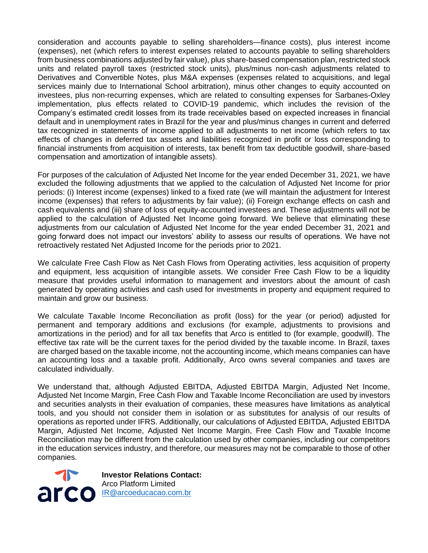consideration and accounts payable to selling shareholders—finance costs), plus interest income (expenses), net (which refers to interest expenses related to accounts payable to selling shareholders from business combinations adjusted by fair value), plus share-based compensation plan, restricted stock units and related payroll taxes (restricted stock units), plus/minus non-cash adjustments related to Derivatives and Convertible Notes, plus M&A expenses (expenses related to acquisitions, and legal services mainly due to International School arbitration), minus other changes to equity accounted on investees, plus non-recurring expenses, which are related to consulting expenses for Sarbanes-Oxley implementation, plus effects related to COVID-19 pandemic, which includes the revision of the Company's estimated credit losses from its trade receivables based on expected increases in financial default and in unemployment rates in Brazil for the year and plus/minus changes in current and deferred tax recognized in statements of income applied to all adjustments to net income (which refers to tax effects of changes in deferred tax assets and liabilities recognized in profit or loss corresponding to financial instruments from acquisition of interests, tax benefit from tax deductible goodwill, share-based compensation and amortization of intangible assets).

For purposes of the calculation of Adjusted Net Income for the year ended December 31, 2021, we have excluded the following adjustments that we applied to the calculation of Adjusted Net Income for prior periods: (i) Interest income (expenses) linked to a fixed rate (we will maintain the adjustment for Interest income (expenses) that refers to adjustments by fair value); (ii) Foreign exchange effects on cash and cash equivalents and (iii) share of loss of equity-accounted investees and. These adjustments will not be applied to the calculation of Adjusted Net Income going forward. We believe that eliminating these adjustments from our calculation of Adjusted Net Income for the year ended December 31, 2021 and going forward does not impact our investors' ability to assess our results of operations. We have not retroactively restated Net Adjusted Income for the periods prior to 2021.

We calculate Free Cash Flow as Net Cash Flows from Operating activities, less acquisition of property and equipment, less acquisition of intangible assets. We consider Free Cash Flow to be a liquidity measure that provides useful information to management and investors about the amount of cash generated by operating activities and cash used for investments in property and equipment required to maintain and grow our business.

We calculate Taxable Income Reconciliation as profit (loss) for the year (or period) adjusted for permanent and temporary additions and exclusions (for example, adjustments to provisions and amortizations in the period) and for all tax benefits that Arco is entitled to (for example, goodwill). The effective tax rate will be the current taxes for the period divided by the taxable income. In Brazil, taxes are charged based on the taxable income, not the accounting income, which means companies can have an accounting loss and a taxable profit. Additionally, Arco owns several companies and taxes are calculated individually.

We understand that, although Adjusted EBITDA, Adjusted EBITDA Margin, Adjusted Net Income, Adjusted Net Income Margin, Free Cash Flow and Taxable Income Reconciliation are used by investors and securities analysts in their evaluation of companies, these measures have limitations as analytical tools, and you should not consider them in isolation or as substitutes for analysis of our results of operations as reported under IFRS. Additionally, our calculations of Adjusted EBITDA, Adjusted EBITDA Margin, Adjusted Net Income, Adjusted Net Income Margin, Free Cash Flow and Taxable Income Reconciliation may be different from the calculation used by other companies, including our competitors in the education services industry, and therefore, our measures may not be comparable to those of other companies.



**Investor Relations Contact:** Arco Platform Limited arco Rearcoeducacao.com.br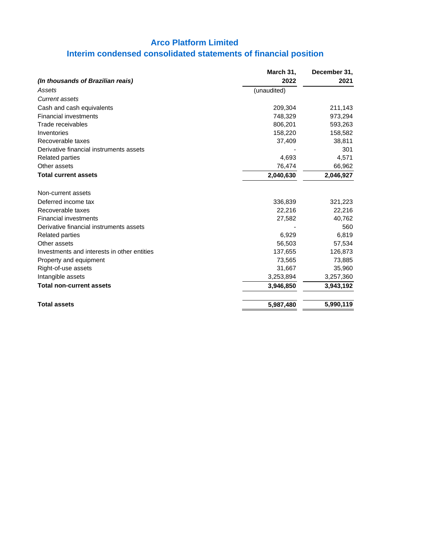# **Arco Platform Limited Interim condensed consolidated statements of financial position**

|                                             | March 31,   | December 31, |
|---------------------------------------------|-------------|--------------|
| (In thousands of Brazilian reais)           | 2022        | 2021         |
| Assets                                      | (unaudited) |              |
| <b>Current assets</b>                       |             |              |
| Cash and cash equivalents                   | 209,304     | 211,143      |
| <b>Financial investments</b>                | 748,329     | 973,294      |
| Trade receivables                           | 806,201     | 593,263      |
| Inventories                                 | 158,220     | 158,582      |
| Recoverable taxes                           | 37,409      | 38,811       |
| Derivative financial instruments assets     |             | 301          |
| <b>Related parties</b>                      | 4,693       | 4,571        |
| Other assets                                | 76,474      | 66,962       |
| <b>Total current assets</b>                 | 2,040,630   | 2,046,927    |
| Non-current assets                          |             |              |
| Deferred income tax                         | 336,839     | 321,223      |
| Recoverable taxes                           | 22,216      | 22,216       |
| <b>Financial investments</b>                | 27,582      | 40,762       |
| Derivative financial instruments assets     |             | 560          |
| <b>Related parties</b>                      | 6,929       | 6,819        |
| Other assets                                | 56,503      | 57,534       |
| Investments and interests in other entities | 137,655     | 126,873      |
| Property and equipment                      | 73,565      | 73,885       |
| Right-of-use assets                         | 31,667      | 35,960       |
| Intangible assets                           | 3,253,894   | 3,257,360    |
| <b>Total non-current assets</b>             | 3,946,850   | 3,943,192    |
| <b>Total assets</b>                         | 5,987,480   | 5,990,119    |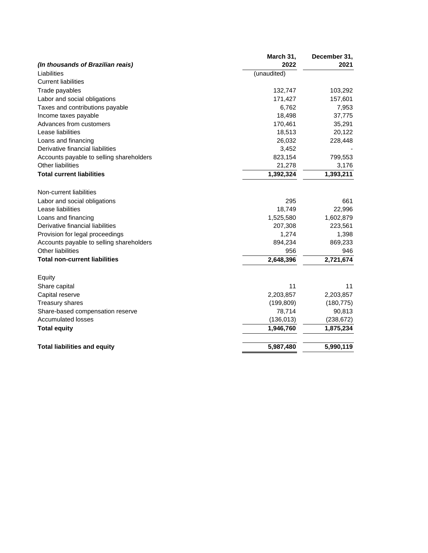|                                          | March 31,   | December 31, |
|------------------------------------------|-------------|--------------|
| (In thousands of Brazilian reais)        | 2022        | 2021         |
| Liabilities                              | (unaudited) |              |
| <b>Current liabilities</b>               |             |              |
| Trade payables                           | 132,747     | 103,292      |
| Labor and social obligations             | 171,427     | 157,601      |
| Taxes and contributions payable          | 6,762       | 7,953        |
| Income taxes payable                     | 18,498      | 37,775       |
| Advances from customers                  | 170,461     | 35,291       |
| Lease liabilities                        | 18,513      | 20,122       |
| Loans and financing                      | 26,032      | 228,448      |
| Derivative financial liabilities         | 3,452       |              |
| Accounts payable to selling shareholders | 823,154     | 799,553      |
| <b>Other liabilities</b>                 | 21,278      | 3,176        |
| <b>Total current liabilities</b>         | 1,392,324   | 1,393,211    |
| Non-current liabilities                  |             |              |
| Labor and social obligations             | 295         | 661          |
| Lease liabilities                        | 18,749      | 22,996       |
| Loans and financing                      | 1,525,580   | 1,602,879    |
| Derivative financial liabilities         | 207,308     | 223,561      |
| Provision for legal proceedings          | 1,274       | 1,398        |
| Accounts payable to selling shareholders | 894,234     | 869,233      |
| Other liabilities                        | 956         | 946          |
| <b>Total non-current liabilities</b>     | 2,648,396   | 2,721,674    |
| Equity                                   |             |              |
| Share capital                            | 11          | 11           |
| Capital reserve                          | 2,203,857   | 2,203,857    |
| Treasury shares                          | (199, 809)  | (180, 775)   |
| Share-based compensation reserve         | 78,714      | 90,813       |
| <b>Accumulated losses</b>                | (136, 013)  | (238, 672)   |
| <b>Total equity</b>                      | 1,946,760   | 1,875,234    |
| <b>Total liabilities and equity</b>      | 5,987,480   | 5,990,119    |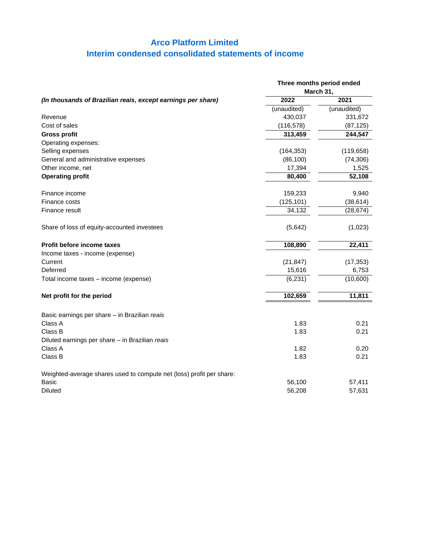# **Arco Platform Limited Interim condensed consolidated statements of income**

|                                                                      | Three months period ended |             |  |  |
|----------------------------------------------------------------------|---------------------------|-------------|--|--|
|                                                                      |                           | March 31,   |  |  |
| (In thousands of Brazilian reais, except earnings per share)         | 2022                      | 2021        |  |  |
|                                                                      | (unaudited)               | (unaudited) |  |  |
| Revenue                                                              | 430,037                   | 331,672     |  |  |
| Cost of sales                                                        | (116, 578)                | (87, 125)   |  |  |
| <b>Gross profit</b>                                                  | 313,459                   | 244,547     |  |  |
| Operating expenses:                                                  |                           |             |  |  |
| Selling expenses                                                     | (164, 353)                | (119, 658)  |  |  |
| General and administrative expenses                                  | (86, 100)                 | (74, 306)   |  |  |
| Other income, net                                                    | 17,394                    | 1,525       |  |  |
| <b>Operating profit</b>                                              | 80,400                    | 52,108      |  |  |
| Finance income                                                       | 159,233                   | 9,940       |  |  |
| Finance costs                                                        | (125, 101)                | (38, 614)   |  |  |
| Finance result                                                       | 34,132                    | (28, 674)   |  |  |
| Share of loss of equity-accounted investees                          | (5,642)                   | (1,023)     |  |  |
| Profit before income taxes                                           | 108,890                   | 22,411      |  |  |
| Income taxes - income (expense)                                      |                           |             |  |  |
| Current                                                              | (21, 847)                 | (17, 353)   |  |  |
| Deferred                                                             | 15,616                    | 6,753       |  |  |
| Total income taxes - income (expense)                                | (6, 231)                  | (10,600)    |  |  |
| Net profit for the period                                            | 102,659                   | 11,811      |  |  |
|                                                                      |                           |             |  |  |
| Basic earnings per share - in Brazilian reais                        |                           |             |  |  |
| Class A                                                              | 1.83                      | 0.21        |  |  |
| Class B                                                              | 1.83                      | 0.21        |  |  |
| Diluted earnings per share - in Brazilian reais                      |                           |             |  |  |
| Class A                                                              | 1.82                      | 0.20        |  |  |
| Class B                                                              | 1.83                      | 0.21        |  |  |
| Weighted-average shares used to compute net (loss) profit per share: |                           |             |  |  |
| <b>Basic</b>                                                         | 56,100                    | 57,411      |  |  |
| <b>Diluted</b>                                                       | 56,208                    | 57,631      |  |  |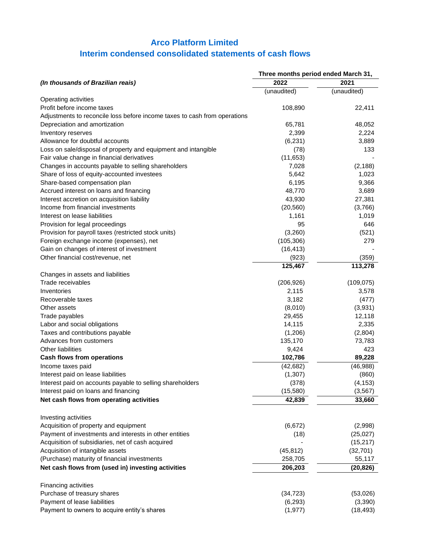# **Arco Platform Limited Interim condensed consolidated statements of cash flows**

|                                                                           | Three months period ended March 31, |             |
|---------------------------------------------------------------------------|-------------------------------------|-------------|
| (In thousands of Brazilian reais)                                         | 2022                                | 2021        |
|                                                                           | (unaudited)                         | (unaudited) |
| Operating activities                                                      |                                     |             |
| Profit before income taxes                                                | 108,890                             | 22,411      |
| Adjustments to reconcile loss before income taxes to cash from operations |                                     |             |
| Depreciation and amortization                                             | 65,781                              | 48,052      |
| Inventory reserves                                                        | 2,399                               | 2,224       |
| Allowance for doubtful accounts                                           | (6, 231)                            | 3,889       |
| Loss on sale/disposal of property and equipment and intangible            | (78)                                | 133         |
| Fair value change in financial derivatives                                | (11, 653)                           |             |
| Changes in accounts payable to selling shareholders                       | 7,028                               | (2, 188)    |
| Share of loss of equity-accounted investees                               | 5,642                               | 1,023       |
| Share-based compensation plan                                             | 6,195                               | 9,366       |
| Accrued interest on loans and financing                                   | 48,770                              | 3,689       |
| Interest accretion on acquisition liability                               | 43,930                              | 27,381      |
| Income from financial investments                                         | (20, 560)                           | (3,766)     |
| Interest on lease liabilities                                             | 1,161                               | 1,019       |
| Provision for legal proceedings                                           | 95                                  | 646         |
| Provision for payroll taxes (restricted stock units)                      | (3,260)                             | (521)       |
| Foreign exchange income (expenses), net                                   | (105, 306)                          | 279         |
| Gain on changes of interest of investment                                 | (16, 413)                           |             |
| Other financial cost/revenue, net                                         | (923)                               | (359)       |
|                                                                           | 125,467                             | 113,278     |
| Changes in assets and liabilities                                         |                                     |             |
| Trade receivables                                                         | (206, 926)                          | (109, 075)  |
| Inventories                                                               | 2,115                               | 3,578       |
| Recoverable taxes                                                         | 3,182                               | (477)       |
| Other assets                                                              | (8,010)                             | (3,931)     |
| Trade payables                                                            | 29,455                              | 12,118      |
| Labor and social obligations                                              | 14,115                              | 2,335       |
| Taxes and contributions payable                                           | (1,206)                             | (2,804)     |
| Advances from customers                                                   | 135,170                             | 73,783      |
| <b>Other liabilities</b>                                                  | 9,424                               | 423         |
| <b>Cash flows from operations</b>                                         | 102,786                             | 89,228      |
| Income taxes paid                                                         | (42, 682)                           | (46, 988)   |
| Interest paid on lease liabilities                                        | (1, 307)                            | (860)       |
| Interest paid on accounts payable to selling shareholders                 | (378)                               | (4, 153)    |
| Interest paid on loans and financing                                      | (15,580)                            | (3, 567)    |
| Net cash flows from operating activities                                  | 42,839                              | 33,660      |
|                                                                           |                                     |             |
| Investing activities                                                      |                                     |             |
| Acquisition of property and equipment                                     | (6, 672)                            | (2,998)     |
| Payment of investments and interests in other entities                    |                                     |             |
|                                                                           | (18)                                | (25, 027)   |
| Acquisition of subsidiaries, net of cash acquired                         |                                     | (15, 217)   |
| Acquisition of intangible assets                                          | (45, 812)                           | (32, 701)   |
| (Purchase) maturity of financial investments                              | 258,705                             | 55,117      |
| Net cash flows from (used in) investing activities                        | 206,203                             | (20, 826)   |
| Financing activities                                                      |                                     |             |
| Purchase of treasury shares                                               |                                     |             |
| Payment of lease liabilities                                              | (34, 723)                           | (53,026)    |
| Payment to owners to acquire entity's shares                              | (6, 293)                            | (3,390)     |
|                                                                           | (1, 977)                            | (18, 493)   |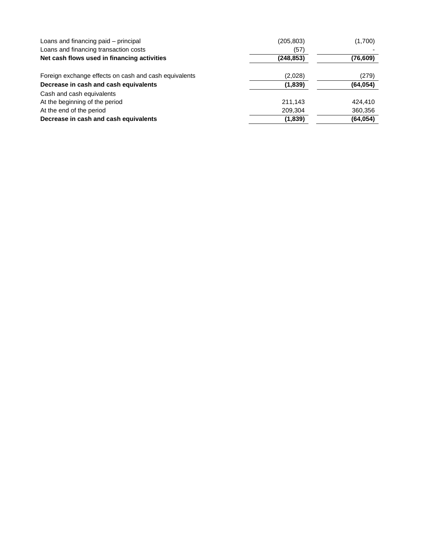| Loans and financing paid - principal                  | (205, 803) | (1,700)   |
|-------------------------------------------------------|------------|-----------|
| Loans and financing transaction costs                 | (57)       |           |
| Net cash flows used in financing activities           | (248, 853) | (76, 609) |
| Foreign exchange effects on cash and cash equivalents | (2,028)    | (279)     |
| Decrease in cash and cash equivalents                 | (1,839)    | (64, 054) |
| Cash and cash equivalents                             |            |           |
| At the beginning of the period                        | 211.143    | 424.410   |
| At the end of the period                              | 209,304    | 360,356   |
| Decrease in cash and cash equivalents                 | (1,839)    | (64, 054) |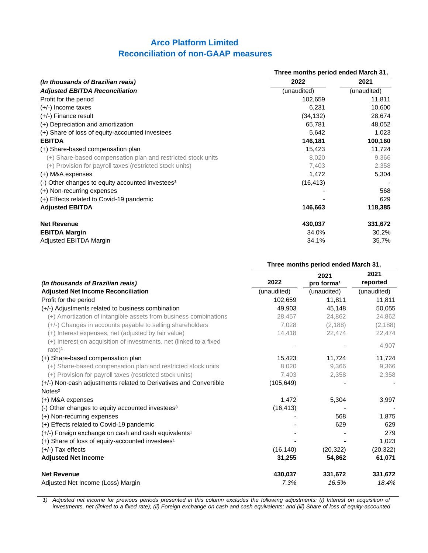# **Arco Platform Limited Reconciliation of non-GAAP measures**

|                                                              |             | Three months period ended March 31, |  |
|--------------------------------------------------------------|-------------|-------------------------------------|--|
| (In thousands of Brazilian reais)                            | 2022        | 2021                                |  |
| <b>Adjusted EBITDA Reconciliation</b>                        | (unaudited) | (unaudited)                         |  |
| Profit for the period                                        | 102,659     | 11,811                              |  |
| $(+/-)$ Income taxes                                         | 6,231       | 10,600                              |  |
| $(+/-)$ Finance result                                       | (34, 132)   | 28,674                              |  |
| (+) Depreciation and amortization                            | 65,781      | 48,052                              |  |
| (+) Share of loss of equity-accounted investees              | 5,642       | 1,023                               |  |
| <b>EBITDA</b>                                                | 146,181     | 100,160                             |  |
| (+) Share-based compensation plan                            | 15,423      | 11,724                              |  |
| (+) Share-based compensation plan and restricted stock units | 8,020       | 9,366                               |  |
| (+) Provision for payroll taxes (restricted stock units)     | 7,403       | 2,358                               |  |
| (+) M&A expenses                                             | 1,472       | 5,304                               |  |
| (-) Other changes to equity accounted investees <sup>3</sup> | (16, 413)   |                                     |  |
| (+) Non-recurring expenses                                   |             | 568                                 |  |
| (+) Effects related to Covid-19 pandemic                     |             | 629                                 |  |
| <b>Adjusted EBITDA</b>                                       | 146,663     | 118,385                             |  |
| <b>Net Revenue</b>                                           | 430,037     | 331,672                             |  |
| <b>EBITDA Margin</b>                                         | 34.0%       | 30.2%                               |  |
| Adjusted EBITDA Margin                                       | 34.1%       | 35.7%                               |  |

|                                                                                  | Three months period ended March 31, |                                |                  |
|----------------------------------------------------------------------------------|-------------------------------------|--------------------------------|------------------|
| (In thousands of Brazilian reais)                                                | 2022                                | 2021<br>pro forma <sup>1</sup> | 2021<br>reported |
| <b>Adjusted Net Income Reconciliation</b>                                        | (unaudited)                         | (unaudited)                    | (unaudited)      |
| Profit for the period                                                            | 102,659                             | 11,811                         | 11,811           |
| (+/-) Adjustments related to business combination                                | 49,903                              | 45,148                         | 50,055           |
| (+) Amortization of intangible assets from business combinations                 | 28,457                              | 24,862                         | 24,862           |
| (+/-) Changes in accounts payable to selling shareholders                        | 7,028                               | (2, 188)                       | (2, 188)         |
| (+) Interest expenses, net (adjusted by fair value)                              | 14,418                              | 22,474                         | 22,474           |
| (+) Interest on acquisition of investments, net (linked to a fixed<br>rate $)^1$ |                                     |                                | 4,907            |
| (+) Share-based compensation plan                                                | 15,423                              | 11,724                         | 11,724           |
| (+) Share-based compensation plan and restricted stock units                     | 8,020                               | 9,366                          | 9,366            |
| (+) Provision for payroll taxes (restricted stock units)                         | 7,403                               | 2,358                          | 2,358            |
| (+/-) Non-cash adjustments related to Derivatives and Convertible                | (105, 649)                          |                                |                  |
| Notes <sup>2</sup>                                                               |                                     |                                |                  |
| (+) M&A expenses                                                                 | 1,472                               | 5,304                          | 3,997            |
| (-) Other changes to equity accounted investees <sup>3</sup>                     | (16, 413)                           |                                |                  |
| (+) Non-recurring expenses                                                       |                                     | 568                            | 1,875            |
| (+) Effects related to Covid-19 pandemic                                         |                                     | 629                            | 629              |
| (+/-) Foreign exchange on cash and cash equivalents <sup>1</sup>                 |                                     |                                | 279              |
| (+) Share of loss of equity-accounted investees <sup>1</sup>                     |                                     |                                | 1,023            |
| $(+/-)$ Tax effects                                                              | (16, 140)                           | (20, 322)                      | (20, 322)        |
| <b>Adjusted Net Income</b>                                                       | 31,255                              | 54,862                         | 61,071           |
| <b>Net Revenue</b>                                                               | 430,037                             | 331,672                        | 331,672          |
| Adjusted Net Income (Loss) Margin                                                | 7.3%                                | 16.5%                          | 18.4%            |

*1) Adjusted net income for previous periods presented in this column excludes the following adjustments: (i) Interest on acquisition of investments, net (linked to a fixed rate); (ii) Foreign exchange on cash and cash equivalents; and (iii) Share of loss of equity-accounted*